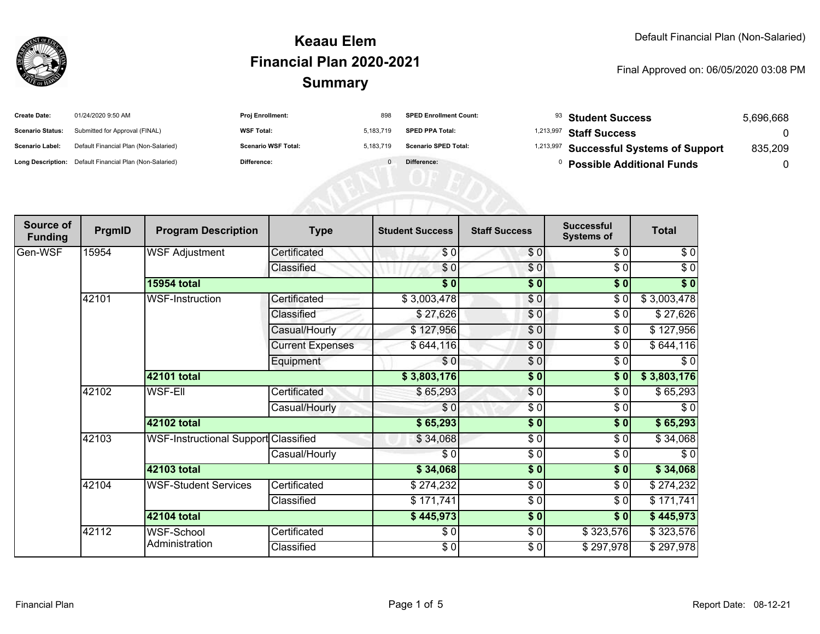

| <b>Create Date:</b>     | 01/24/2020 9:50 AM                                      | <b>Proj Enrollment:</b>    |           | <b>SPED Enrollment Count:</b> | $93$ Student Success                               | 5,696,668 |
|-------------------------|---------------------------------------------------------|----------------------------|-----------|-------------------------------|----------------------------------------------------|-----------|
| <b>Scenario Status:</b> | Submitted for Approval (FINAL)                          | <b>WSF Total:</b>          | 5.183.719 | <b>SPED PPA Total:</b>        | <sup>1,213,997</sup> Staff Success                 |           |
| <b>Scenario Label:</b>  | Default Financial Plan (Non-Salaried)                   | <b>Scenario WSF Total:</b> | 5.183.719 | <b>Scenario SPED Total:</b>   | <sup>1,213,997</sup> Successful Systems of Support | 835,209   |
|                         | Long Description: Default Financial Plan (Non-Salaried) | <b>Difference:</b>         |           | Difference:                   | <b>Possible Additional Funds</b>                   |           |

| Source of<br><b>Funding</b> | PrgmID | <b>Program Description</b>                  | <b>Type</b>             | <b>Student Success</b> | <b>Staff Success</b> | <b>Successful</b><br><b>Systems of</b> | <b>Total</b>      |
|-----------------------------|--------|---------------------------------------------|-------------------------|------------------------|----------------------|----------------------------------------|-------------------|
| Gen-WSF                     | 15954  | <b>WSF Adjustment</b>                       | Certificated            | \$0                    | \$0                  | \$0                                    | \$0               |
|                             |        |                                             | Classified              | \$0                    | \$0                  | \$0                                    | $\sqrt{6}$        |
|                             |        | <b>15954 total</b>                          |                         | $\overline{\bullet}$   | $\sqrt{6}$           | \$0                                    | $\overline{\$}$ 0 |
|                             | 42101  | WSF-Instruction                             | Certificated            | \$3,003,478            | \$0                  | \$0                                    | \$3,003,478       |
|                             |        |                                             | Classified              | \$27,626               | \$0                  | $\frac{6}{6}$                          | \$27,626          |
|                             |        |                                             | Casual/Hourly           | \$127,956              | \$0                  | \$0                                    | \$127,956         |
|                             |        |                                             | <b>Current Expenses</b> | \$644,116              | \$0                  | \$0                                    | \$644,116         |
|                             |        |                                             | Equipment               | \$0                    | \$0                  | \$0                                    | $\sqrt{6}$        |
|                             |        | 42101 total                                 |                         | \$3,803,176            | $\sqrt{6}$           | \$0                                    | \$3,803,176       |
|                             | 42102  | <b>WSF-Ell</b>                              | Certificated            | \$65,293               | \$0                  | \$0                                    | \$65,293          |
|                             |        |                                             | Casual/Hourly           | \$0                    | \$0                  | \$0                                    | \$0               |
|                             |        | 42102 total                                 |                         | \$65,293               | \$0                  | \$0                                    | \$65,293          |
|                             | 42103  | <b>WSF-Instructional Support Classified</b> |                         | \$34,068               | $\frac{6}{6}$        | \$0                                    | \$34,068          |
|                             |        |                                             | Casual/Hourly           | \$0                    | \$0                  | \$0                                    | \$0               |
|                             |        | 42103 total                                 |                         | \$34,068               | \$0                  | \$0                                    | \$34,068          |
|                             | 42104  | <b>WSF-Student Services</b>                 | Certificated            | \$274,232              | \$0                  | \$0                                    | \$274,232         |
|                             |        |                                             | Classified              | \$171,741              | \$0                  | \$0                                    | \$171,741         |
|                             |        | 42104 total                                 |                         | \$445,973              | \$0                  | \$0                                    | \$445,973         |
|                             | 42112  | WSF-School                                  | Certificated            | \$0                    | \$0                  | \$323,576                              | \$323,576         |
|                             |        | Administration                              | Classified              | \$0                    | \$0                  | \$297,978                              | \$297,978         |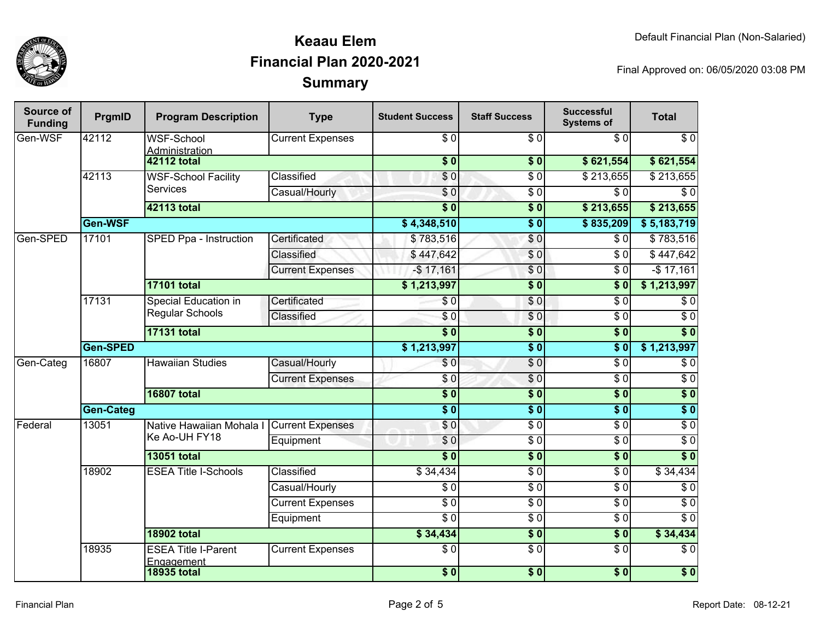

| Source of<br><b>Funding</b> | PrgmID             | <b>Program Description</b>                     | <b>Type</b>                               | <b>Student Success</b>  | <b>Staff Success</b> | <b>Successful</b><br><b>Systems of</b> | <b>Total</b>         |                 |
|-----------------------------|--------------------|------------------------------------------------|-------------------------------------------|-------------------------|----------------------|----------------------------------------|----------------------|-----------------|
| Gen-WSF                     | 42112              | <b>WSF-School</b><br>Administration            | <b>Current Expenses</b>                   | \$0<br>$\overline{\$}0$ | \$0                  | \$0                                    | $\sqrt{6}$           |                 |
|                             |                    | <b>42112 total</b>                             |                                           |                         | $\sqrt{6}$           | \$621,554                              | \$621,554            |                 |
|                             | 42113              | <b>WSF-School Facility</b>                     | Classified                                | $\overline{\$0}$        | $\overline{\$0}$     | \$213,655                              | \$213,655            |                 |
|                             |                    | <b>Services</b>                                | Casual/Hourly                             | $\overline{\$0}$        | $\overline{\$0}$     | $\overline{\$0}$                       | $\overline{\$0}$     |                 |
|                             |                    | 42113 total                                    |                                           | $\overline{\bullet}$ 0  | $\overline{\$0}$     | \$213,655                              | \$213,655            |                 |
|                             | Gen-WSF            |                                                |                                           | \$4,348,510             | $\overline{\$0}$     | \$835,209                              | \$5,183,719          |                 |
| Gen-SPED                    | 17101              | SPED Ppa - Instruction                         | Certificated                              | \$783,516               | \$0                  | $\overline{\$0}$                       | \$783,516            |                 |
|                             |                    |                                                | Classified                                | \$447,642               | \$0                  | \$0                                    | \$447,642            |                 |
|                             |                    |                                                | <b>Current Expenses</b>                   | $-$17,161$              | $\overline{\$0}$     | $\overline{\$0}$                       | $-$ \$17,161         |                 |
|                             |                    | <b>17101 total</b>                             |                                           | \$1,213,997             | $\overline{\$0}$     | $\overline{\textbf{S}^0}$              | \$1,213,997          |                 |
|                             | 17131              | <b>Special Education in</b><br>Regular Schools | Certificated                              | $\overline{\$0}$        | \$0                  | $\overline{\$0}$                       | $\overline{\$0}$     |                 |
|                             |                    |                                                | Classified                                | $\overline{S}0$         | $\overline{\$0}$     | $\overline{\$0}$                       | $\overline{\$0}$     |                 |
|                             |                    | <b>17131 total</b>                             |                                           | $\overline{\$}0$        | $\overline{\$0}$     | $\overline{\$0}$                       | $\sqrt{6}$           |                 |
|                             | Gen-SPED           |                                                |                                           | \$1,213,997             | $\overline{\$0}$     | $\overline{\$0}$                       | \$1,213,997          |                 |
| Gen-Categ                   | 16807              | <b>Hawaiian Studies</b>                        | Casual/Hourly                             | $\overline{\$0}$        | $\overline{\$0}$     | $\overline{\$0}$                       | $\overline{\$0}$     |                 |
|                             |                    |                                                | <b>Current Expenses</b>                   | $\overline{50}$         | $\overline{\$0}$     | $\overline{\$0}$                       | $\overline{30}$      |                 |
|                             | <b>16807 total</b> |                                                |                                           | $\overline{\$}0$        | $\sqrt{6}$           | $\overline{\$0}$                       | $\sqrt{ }$           |                 |
|                             | <b>Gen-Categ</b>   |                                                |                                           | $\overline{\$}0$        | $\overline{\$0}$     | $\overline{\$0}$                       | $\overline{\$}0$     |                 |
| Federal                     | 13051              |                                                | Native Hawaiian Mohala I Current Expenses |                         | $\overline{\$}0$     | $\overline{\$0}$                       | $\overline{\$0}$     | $\overline{30}$ |
|                             |                    | Ke Ao-UH FY18                                  | Equipment                                 | $\overline{\$0}$        | $\overline{\$0}$     | $\overline{\$0}$                       | $\overline{30}$      |                 |
|                             |                    | <b>13051 total</b>                             |                                           | $\overline{\bullet}$ 0  | $\overline{\$0}$     | $\overline{\$0}$                       | $\overline{\bullet}$ |                 |
|                             | 18902              | <b>ESEA Title I-Schools</b>                    | Classified                                | \$34,434                | $\overline{\$0}$     | $\overline{\$0}$                       | \$34,434             |                 |
|                             |                    |                                                | Casual/Hourly                             | \$0                     | $\overline{\$0}$     | $\overline{\$0}$                       | $\overline{\$0}$     |                 |
|                             |                    |                                                | <b>Current Expenses</b>                   | $\overline{\$0}$        | $\overline{\$0}$     | $\overline{\$0}$                       | $\overline{\$0}$     |                 |
|                             |                    |                                                | Equipment                                 | $\overline{\$0}$        | $\overline{\$0}$     | $\overline{\$0}$                       | $\overline{\$0}$     |                 |
|                             |                    | <b>18902 total</b>                             |                                           | \$34,434                | $\overline{\$0}$     | $\overline{\$}0$                       | \$34,434             |                 |
|                             | 18935              | <b>ESEA Title I-Parent</b><br>Engagement       | <b>Current Expenses</b>                   | $\overline{\$0}$        | $\overline{\$0}$     | $\overline{\$0}$                       | $\overline{\$0}$     |                 |
|                             |                    | <b>18935 total</b>                             |                                           | \$0                     | $\overline{\$0}$     | \$0                                    | \$0                  |                 |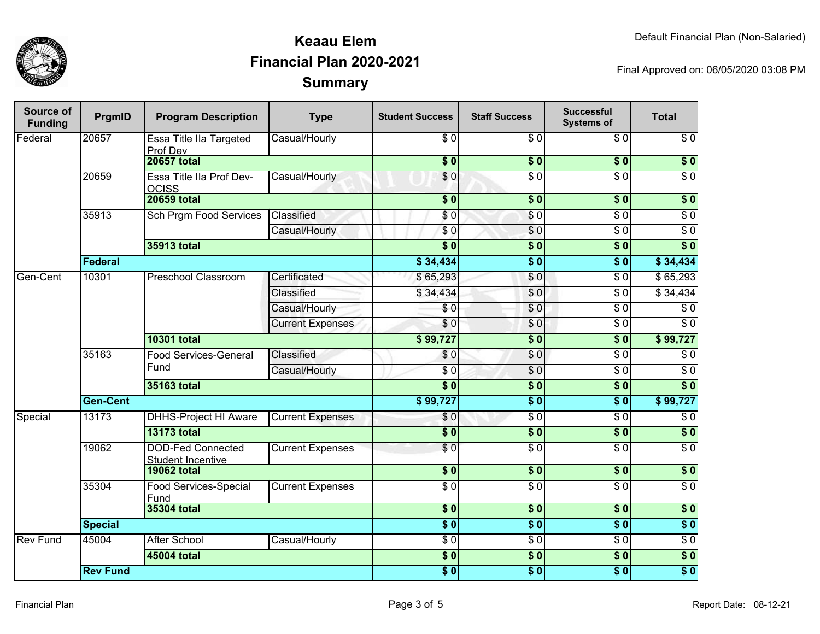

| Source of<br><b>Funding</b> | PrgmID          | <b>Program Description</b>                           | <b>Type</b>                | <b>Student Success</b> | <b>Staff Success</b> | <b>Successful</b><br><b>Systems of</b> | <b>Total</b>     |
|-----------------------------|-----------------|------------------------------------------------------|----------------------------|------------------------|----------------------|----------------------------------------|------------------|
| Federal                     | 20657           | Essa Title IIa Targeted<br>Prof Dev                  | Casual/Hourly              | \$0                    | \$0                  | \$0                                    | $\sqrt{6}$       |
|                             |                 | <b>20657 total</b>                                   |                            | $\overline{\$0}$       | $\frac{1}{2}$        | $\overline{\bullet}$                   | $\overline{\$0}$ |
|                             | 20659           | Essa Title IIa Prof Dev-<br><b>OCISS</b>             | Casual/Hourly              | \$0                    | $\overline{\$0}$     | $\overline{\$0}$                       | $\overline{\$0}$ |
|                             |                 | <b>20659 total</b>                                   |                            | \$0                    | \$0                  | \$0                                    | \$0              |
|                             | 35913           | <b>Sch Prgm Food Services</b>                        | Classified                 | \$0                    | \$0                  | $\sqrt{6}$                             | $\sqrt{6}$       |
|                             |                 |                                                      | Casual/Hourly              | \$0                    | \$0                  | $\sqrt{6}$                             | $\overline{60}$  |
|                             |                 | <b>35913 total</b>                                   |                            | $\overline{\$0}$       | \$0                  | \$0                                    | $\overline{\$0}$ |
|                             | Federal         |                                                      |                            | \$34,434               | $\overline{\$0}$     | \$0                                    | \$34,434         |
| Gen-Cent                    | 10301           | <b>Preschool Classroom</b>                           | Certificated               | \$65,293               | \$0                  | $\sqrt{6}$                             | \$65,293         |
|                             |                 |                                                      | Classified                 | \$34,434               | \$0                  | $\overline{60}$                        | \$34,434         |
|                             |                 |                                                      | Casual/Hourly              | $\sqrt{6}$             | \$0                  | $\sqrt{6}$                             | $\sqrt{6}$       |
|                             |                 |                                                      | <b>Current Expenses</b>    | \$0                    | \$0                  | $\sqrt{6}$                             | $\sqrt{6}$       |
|                             |                 | <b>10301 total</b>                                   |                            | \$99,727               | \$0                  | $\sqrt{6}$                             | \$99,727         |
|                             | 35163           | <b>Food Services-General</b><br>Fund                 | Classified                 | \$0                    | \$0                  | $\overline{60}$                        | $\sqrt{6}$       |
|                             |                 |                                                      | Casual/Hourly              | $\sqrt{6}$             | \$0                  | $\sqrt{6}$                             | $\sqrt{6}$       |
|                             |                 | 35163 total                                          |                            | \$0                    | $\overline{\$0}$     | $\overline{\$0}$                       | $\overline{\$0}$ |
|                             | <b>Gen-Cent</b> |                                                      |                            | \$99,727               | $\overline{\$0}$     | s <sub>0</sub>                         | \$99,727         |
| Special                     | 13173           | <b>DHHS-Project HI Aware</b>                         | <b>Current Expenses</b>    | \$0                    | \$0                  | $\overline{\$0}$                       | $\sqrt{6}$       |
|                             |                 | <b>13173 total</b>                                   |                            | $\overline{\$0}$       | $\overline{\$0}$     | \$0                                    | $\overline{\$0}$ |
|                             | 19062           | <b>DOD-Fed Connected</b><br><b>Student Incentive</b> | <b>Current Expenses</b>    | \$0                    | $\overline{S}0$      | $\overline{S}0$                        | $\overline{\$0}$ |
|                             |                 | <b>19062 total</b>                                   |                            | $\sqrt{6}$             | $\overline{\$0}$     | $\overline{\$0}$                       | $\overline{\$0}$ |
|                             | 35304           | Food Services-Special<br>Fund                        | <b>Current Expenses</b>    | $\overline{30}$        | $\sqrt{50}$          | $\overline{S}0$                        | $\overline{\$0}$ |
|                             | 35304 total     |                                                      | $\overline{\phantom{0}30}$ | $\overline{\$0}$       | s <sub>0</sub>       | $\sqrt{ }$                             |                  |
|                             | <b>Special</b>  |                                                      |                            | $\overline{\bullet}$   | $\overline{\$0}$     | s <sub>0</sub>                         | $\overline{\$0}$ |
| <b>Rev Fund</b>             | 45004           | <b>After School</b>                                  | Casual/Hourly              | $\overline{\$0}$       | $\sqrt{6}$           | $\overline{\$0}$                       | $\overline{\$0}$ |
|                             |                 | 45004 total                                          |                            | \$0                    | $\overline{\$0}$     | \$0                                    | $\sqrt{ }$       |
|                             | <b>Rev Fund</b> |                                                      |                            | $\overline{\$0}$       | $\overline{\$0}$     | $\overline{\$0}$                       | $\overline{\$0}$ |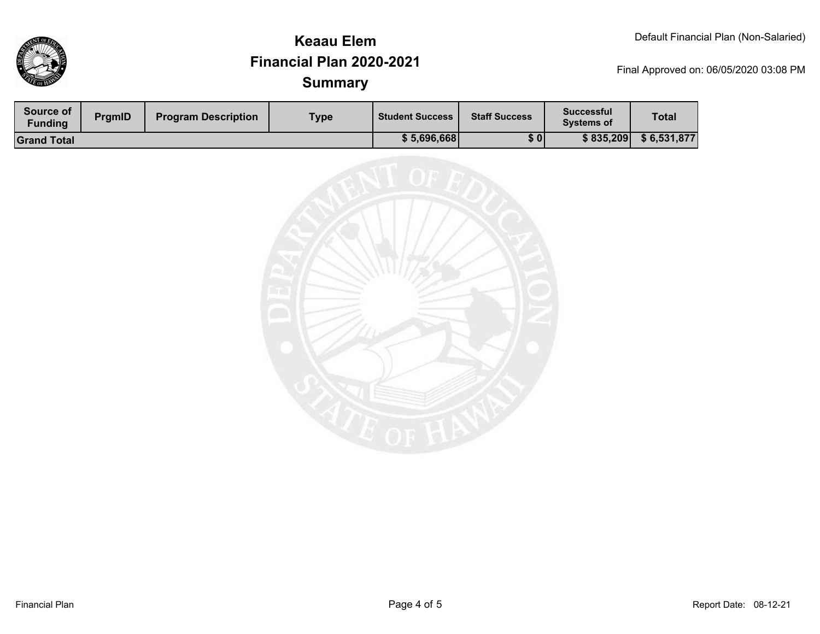

| <b>Source of</b><br><b>Funding</b> | <b>PramID</b> | <b>Program Description</b> | Type | <b>Student Success</b> | <b>Staff Success</b> | <b>Successful</b><br><b>Systems of</b> | <b>Total</b> |
|------------------------------------|---------------|----------------------------|------|------------------------|----------------------|----------------------------------------|--------------|
| <b>Grand Total</b>                 |               |                            |      | \$5,696,668            | \$0                  | \$835,209                              | \$6,531,877  |